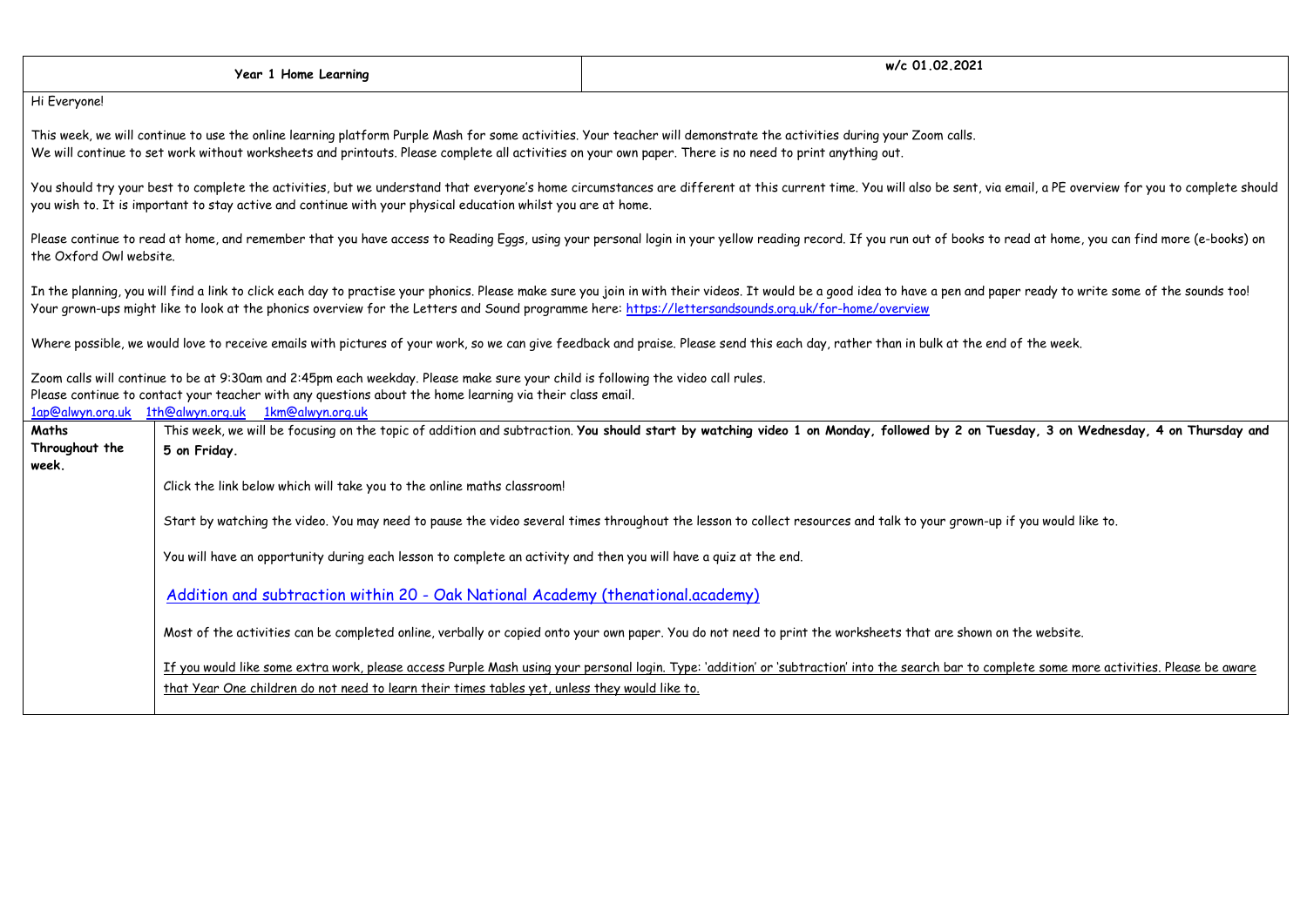|                                  | Year 1 Home Learning                                                                                                                                                                                                                                                                                                              | w/c 01.02.2021                                                                                                                                                                                                           |
|----------------------------------|-----------------------------------------------------------------------------------------------------------------------------------------------------------------------------------------------------------------------------------------------------------------------------------------------------------------------------------|--------------------------------------------------------------------------------------------------------------------------------------------------------------------------------------------------------------------------|
| Hi Everyone!                     |                                                                                                                                                                                                                                                                                                                                   |                                                                                                                                                                                                                          |
|                                  | This week, we will continue to use the online learning platform Purple Mash for some activities. Your teacher will demonstrate the activities during your Zoom calls.<br>We will continue to set work without worksheets and printouts. Please complete all activities on your own paper. There is no need to print anything out. |                                                                                                                                                                                                                          |
|                                  | you wish to. It is important to stay active and continue with your physical education whilst you are at home.                                                                                                                                                                                                                     | You should try your best to complete the activities, but we understand that everyone's home circumstances are different at this current time. You will also be sent, via email, a PE overview for you to complete should |
| the Oxford Owl website.          |                                                                                                                                                                                                                                                                                                                                   | Please continue to read at home, and remember that you have access to Reading Eggs, using your personal login in your yellow reading record. If you run out of books to read at home, you can find more (e-books) on     |
|                                  | Your grown-ups might like to look at the phonics overview for the Letters and Sound programme here: https://lettersandsounds.org.uk/for-home/overview                                                                                                                                                                             | In the planning, you will find a link to click each day to practise your phonics. Please make sure you join in with their videos. It would be a good idea to have a pen and paper ready to write some of the sounds too! |
|                                  |                                                                                                                                                                                                                                                                                                                                   | Where possible, we would love to receive emails with pictures of your work, so we can give feedback and praise. Please send this each day, rather than in bulk at the end of the week.                                   |
|                                  | Zoom calls will continue to be at 9:30am and 2:45pm each weekday. Please make sure your child is following the video call rules.<br>Please continue to contact your teacher with any questions about the home learning via their class email.<br>1ap@alwyn.org.uk 1th@alwyn.org.uk 1km@alwyn.org.uk                               |                                                                                                                                                                                                                          |
| Maths<br>Throughout the<br>week. | 5 on Friday.                                                                                                                                                                                                                                                                                                                      | This week, we will be focusing on the topic of addition and subtraction. You should start by watching video 1 on Monday, followed by 2 on Tuesday, 3 on Wednesday, 4 on Thursday and                                     |
|                                  | Click the link below which will take you to the online maths classroom!                                                                                                                                                                                                                                                           |                                                                                                                                                                                                                          |
|                                  |                                                                                                                                                                                                                                                                                                                                   | Start by watching the video. You may need to pause the video several times throughout the lesson to collect resources and talk to your grown-up if you would like to.                                                    |
|                                  | You will have an opportunity during each lesson to complete an activity and then you will have a quiz at the end.                                                                                                                                                                                                                 |                                                                                                                                                                                                                          |
|                                  | Addition and subtraction within 20 - Oak National Academy (thenational.academy)                                                                                                                                                                                                                                                   |                                                                                                                                                                                                                          |
|                                  |                                                                                                                                                                                                                                                                                                                                   | Most of the activities can be completed online, verbally or copied onto your own paper. You do not need to print the worksheets that are shown on the website.                                                           |
|                                  | that Year One children do not need to learn their times tables yet, unless they would like to.                                                                                                                                                                                                                                    | If you would like some extra work, please access Purple Mash using your personal login. Type: 'addition' or 'subtraction' into the search bar to complete some more activities. Please be aware                          |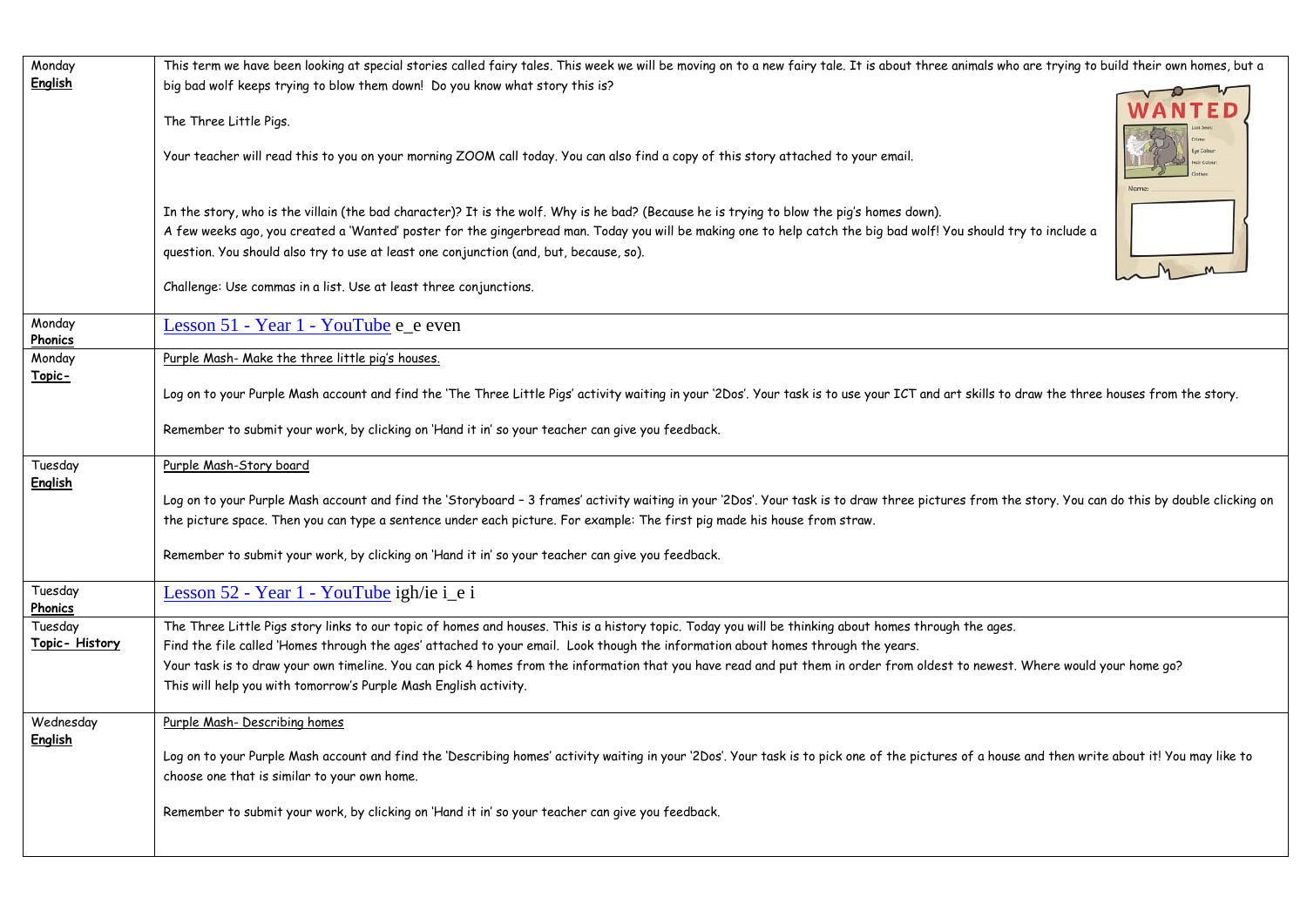| Monday                    | This term we have been looking at special stories called fairy tales. This week we will be moving on to a new fairy tale. It is about three animals who are trying to build their own homes, but a                                               |  |
|---------------------------|--------------------------------------------------------------------------------------------------------------------------------------------------------------------------------------------------------------------------------------------------|--|
| English                   | big bad wolf keeps trying to blow them down! Do you know what story this is?                                                                                                                                                                     |  |
|                           | The Three Little Pigs.                                                                                                                                                                                                                           |  |
|                           | Your teacher will read this to you on your morning ZOOM call today. You can also find a copy of this story attached to your email.                                                                                                               |  |
|                           | In the story, who is the villain (the bad character)? It is the wolf. Why is he bad? (Because he is trying to blow the pig's homes down).                                                                                                        |  |
|                           | A few weeks ago, you created a 'Wanted' poster for the gingerbread man. Today you will be making one to help catch the big bad wolf! You should try to include a                                                                                 |  |
|                           | question. You should also try to use at least one conjunction (and, but, because, so).                                                                                                                                                           |  |
|                           | Challenge: Use commas in a list. Use at least three conjunctions.                                                                                                                                                                                |  |
| Monday<br>Phonics         | Lesson 51 - Year 1 - YouTube e_e even                                                                                                                                                                                                            |  |
| Monday                    | Purple Mash- Make the three little pig's houses.                                                                                                                                                                                                 |  |
| Topic-                    | Log on to your Purple Mash account and find the 'The Three Little Pigs' activity waiting in your '2Dos'. Your task is to use your ICT and art skills to draw the three houses from the story.                                                    |  |
|                           | Remember to submit your work, by clicking on 'Hand it in' so your teacher can give you feedback.                                                                                                                                                 |  |
| Tuesday<br><b>English</b> | Purple Mash-Story board                                                                                                                                                                                                                          |  |
|                           | Log on to your Purple Mash account and find the 'Storyboard - 3 frames' activity waiting in your '2Dos'. Your task is to draw three pictures from the story. You can do this by double clicking on                                               |  |
|                           | the picture space. Then you can type a sentence under each picture. For example: The first pig made his house from straw.                                                                                                                        |  |
|                           | Remember to submit your work, by clicking on 'Hand it in' so your teacher can give you feedback.                                                                                                                                                 |  |
| Tuesday<br>Phonics        | Lesson 52 - Year 1 - YouTube igh/ie i_e i                                                                                                                                                                                                        |  |
| Tuesday                   | The Three Little Pigs story links to our topic of homes and houses. This is a history topic. Today you will be thinking about homes through the ages.                                                                                            |  |
| Topic- History            |                                                                                                                                                                                                                                                  |  |
|                           | Find the file called 'Homes through the ages' attached to your email. Look though the information about homes through the years.                                                                                                                 |  |
|                           | Your task is to draw your own timeline. You can pick 4 homes from the information that you have read and put them in order from oldest to newest. Where would your home go?<br>This will help you with tomorrow's Purple Mash English activity.  |  |
| Wednesday                 | Purple Mash- Describing homes                                                                                                                                                                                                                    |  |
| English                   |                                                                                                                                                                                                                                                  |  |
|                           | Log on to your Purple Mash account and find the 'Describing homes' activity waiting in your '2Dos'. Your task is to pick one of the pictures of a house and then write about it! You may like to<br>choose one that is similar to your own home. |  |
|                           | Remember to submit your work, by clicking on 'Hand it in' so your teacher can give you feedback.                                                                                                                                                 |  |